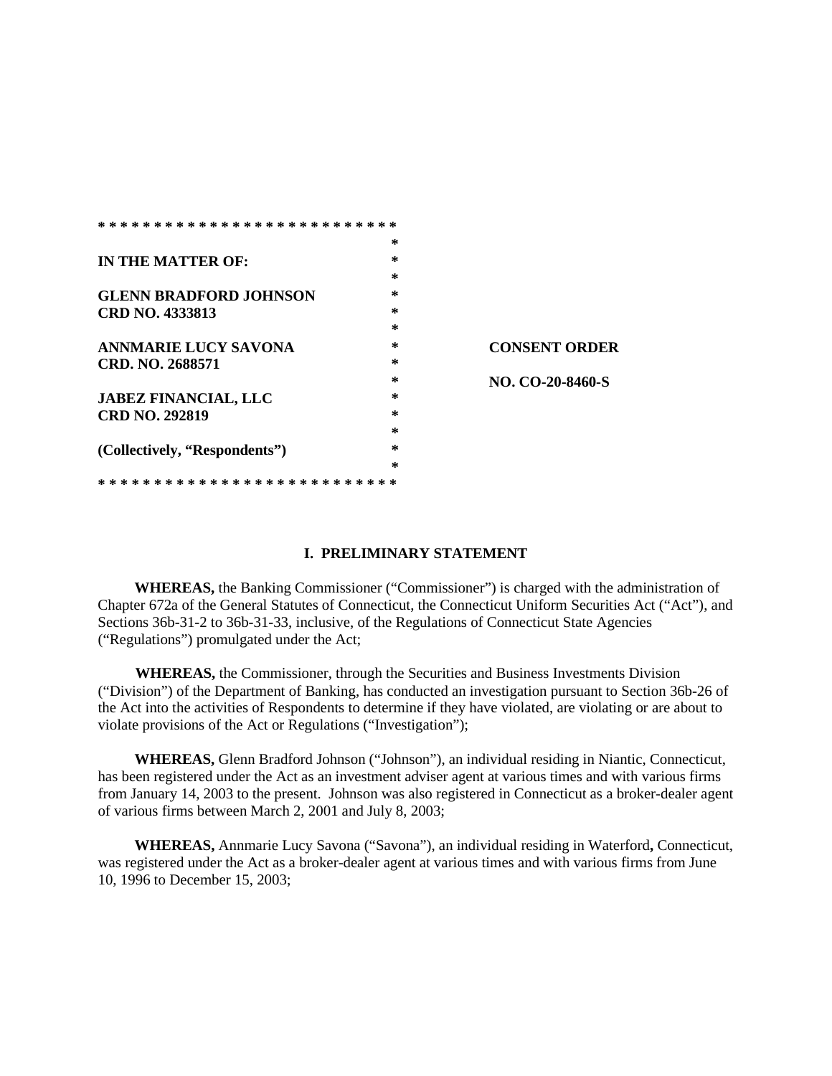| * * * * *<br>* * *<br>ж.<br>ж. |        |                      |
|--------------------------------|--------|----------------------|
|                                | ∗      |                      |
| IN THE MATTER OF:              | *      |                      |
|                                | ж      |                      |
| <b>GLENN BRADFORD JOHNSON</b>  | *      |                      |
| <b>CRD NO. 4333813</b>         | *      |                      |
|                                | *      |                      |
| <b>ANNMARIE LUCY SAVONA</b>    | *      | <b>CONSENT ORDER</b> |
| CRD. NO. 2688571               | *      |                      |
|                                | *      | NO. CO-20-8460-S     |
| <b>JABEZ FINANCIAL, LLC</b>    | *      |                      |
| <b>CRD NO. 292819</b>          | *      |                      |
|                                | *      |                      |
| (Collectively, "Respondents")  | $\ast$ |                      |
|                                | ж      |                      |
| * * * *                        |        |                      |

### **I. PRELIMINARY STATEMENT**

**WHEREAS,** the Banking Commissioner ("Commissioner") is charged with the administration of Chapter 672a of the General Statutes of Connecticut, the Connecticut Uniform Securities Act ("Act"), and Sections 36b-31-2 to 36b-31-33, inclusive, of the Regulations of Connecticut State Agencies ("Regulations") promulgated under the Act;

**WHEREAS,** the Commissioner, through the Securities and Business Investments Division ("Division") of the Department of Banking, has conducted an investigation pursuant to Section 36b-26 of the Act into the activities of Respondents to determine if they have violated, are violating or are about to violate provisions of the Act or Regulations ("Investigation");

**WHEREAS,** Glenn Bradford Johnson ("Johnson"), an individual residing in Niantic, Connecticut, has been registered under the Act as an investment adviser agent at various times and with various firms from January 14, 2003 to the present. Johnson was also registered in Connecticut as a broker-dealer agent of various firms between March 2, 2001 and July 8, 2003;

**WHEREAS,** Annmarie Lucy Savona ("Savona"), an individual residing in Waterford**,** Connecticut, was registered under the Act as a broker-dealer agent at various times and with various firms from June 10, 1996 to December 15, 2003;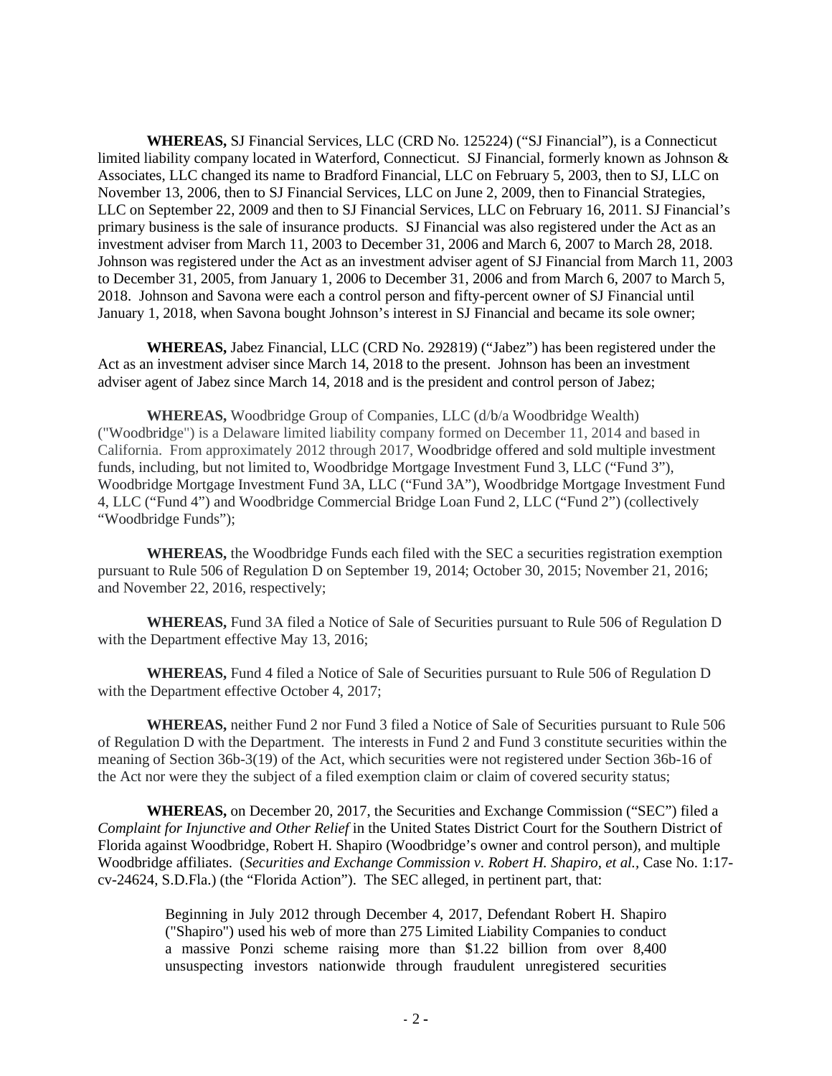**WHEREAS,** SJ Financial Services, LLC (CRD No. 125224) ("SJ Financial"), is a Connecticut limited liability company located in Waterford, Connecticut. SJ Financial, formerly known as Johnson & Associates, LLC changed its name to Bradford Financial, LLC on February 5, 2003, then to SJ, LLC on November 13, 2006, then to SJ Financial Services, LLC on June 2, 2009, then to Financial Strategies, LLC on September 22, 2009 and then to SJ Financial Services, LLC on February 16, 2011. SJ Financial's primary business is the sale of insurance products. SJ Financial was also registered under the Act as an investment adviser from March 11, 2003 to December 31, 2006 and March 6, 2007 to March 28, 2018. Johnson was registered under the Act as an investment adviser agent of SJ Financial from March 11, 2003 to December 31, 2005, from January 1, 2006 to December 31, 2006 and from March 6, 2007 to March 5, 2018. Johnson and Savona were each a control person and fifty-percent owner of SJ Financial until January 1, 2018, when Savona bought Johnson's interest in SJ Financial and became its sole owner;

**WHEREAS,** Jabez Financial, LLC (CRD No. 292819) ("Jabez") has been registered under the Act as an investment adviser since March 14, 2018 to the present. Johnson has been an investment adviser agent of Jabez since March 14, 2018 and is the president and control person of Jabez;

**WHEREAS,** Woodbridge Group of Companies, LLC (d/b/a Woodbridge Wealth) ("Woodbridge") is a Delaware limited liability company formed on December 11, 2014 and based in California. From approximately 2012 through 2017, Woodbridge offered and sold multiple investment funds, including, but not limited to, Woodbridge Mortgage Investment Fund 3, LLC ("Fund 3"), Woodbridge Mortgage Investment Fund 3A, LLC ("Fund 3A"), Woodbridge Mortgage Investment Fund 4, LLC ("Fund 4") and Woodbridge Commercial Bridge Loan Fund 2, LLC ("Fund 2") (collectively "Woodbridge Funds");

**WHEREAS,** the Woodbridge Funds each filed with the SEC a securities registration exemption pursuant to Rule 506 of Regulation D on September 19, 2014; October 30, 2015; November 21, 2016; and November 22, 2016, respectively;

**WHEREAS,** Fund 3A filed a Notice of Sale of Securities pursuant to Rule 506 of Regulation D with the Department effective May 13, 2016;

**WHEREAS,** Fund 4 filed a Notice of Sale of Securities pursuant to Rule 506 of Regulation D with the Department effective October 4, 2017;

**WHEREAS,** neither Fund 2 nor Fund 3 filed a Notice of Sale of Securities pursuant to Rule 506 of Regulation D with the Department. The interests in Fund 2 and Fund 3 constitute securities within the meaning of Section 36b-3(19) of the Act, which securities were not registered under Section 36b-16 of the Act nor were they the subject of a filed exemption claim or claim of covered security status;

**WHEREAS,** on December 20, 2017, the Securities and Exchange Commission ("SEC") filed a *Complaint for Injunctive and Other Relief* in the United States District Court for the Southern District of Florida against Woodbridge, Robert H. Shapiro (Woodbridge's owner and control person), and multiple Woodbridge affiliates. (*Securities and Exchange Commission v. Robert H. Shapiro, et al.,* Case No. 1:17 cv-24624, S.D.Fla.) (the "Florida Action"). The SEC alleged, in pertinent part, that:

> Beginning in July 2012 through December 4, 2017, Defendant Robert H. Shapiro ("Shapiro") used his web of more than 275 Limited Liability Companies to conduct a massive Ponzi scheme raising more than \$1.22 billion from over 8,400 unsuspecting investors nationwide through fraudulent unregistered securities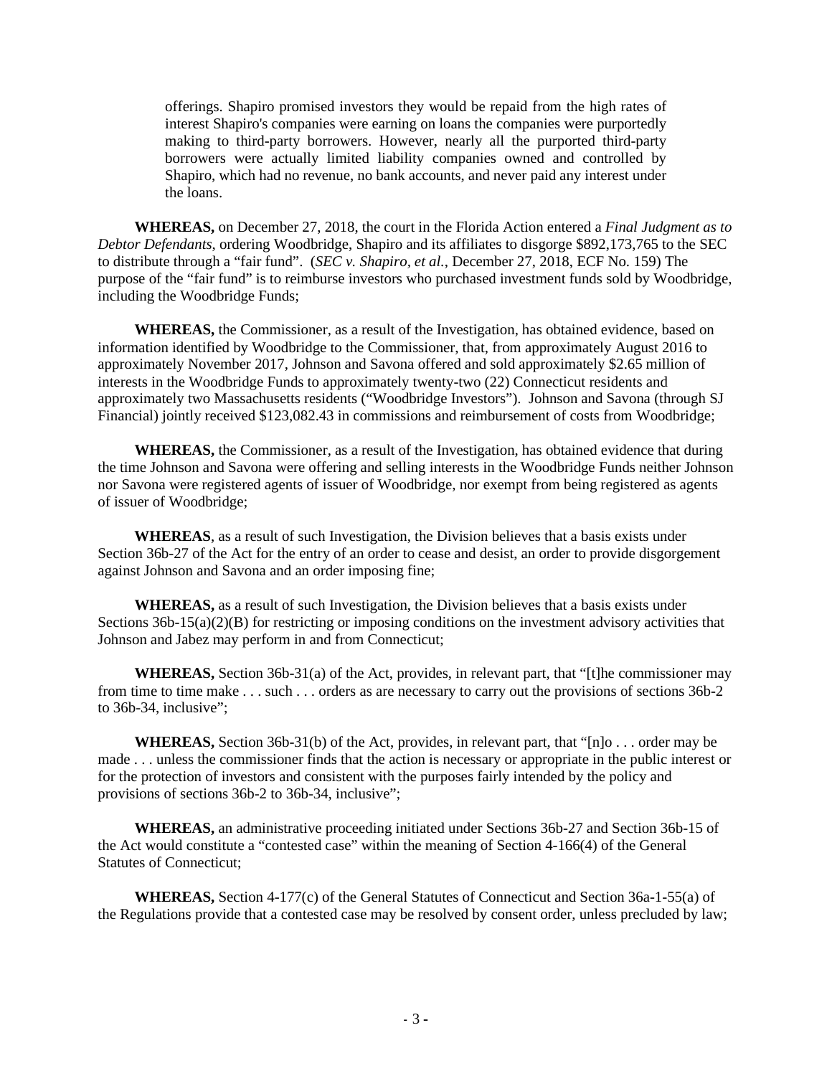offerings. Shapiro promised investors they would be repaid from the high rates of interest Shapiro's companies were earning on loans the companies were purportedly making to third-party borrowers. However, nearly all the purported third-party borrowers were actually limited liability companies owned and controlled by Shapiro, which had no revenue, no bank accounts, and never paid any interest under the loans.

**WHEREAS,** on December 27, 2018, the court in the Florida Action entered a *Final Judgment as to Debtor Defendants*, ordering Woodbridge, Shapiro and its affiliates to disgorge \$892,173,765 to the SEC to distribute through a "fair fund". (*SEC v. Shapiro, et al.*, December 27, 2018, ECF No. 159) The purpose of the "fair fund" is to reimburse investors who purchased investment funds sold by Woodbridge, including the Woodbridge Funds;

**WHEREAS,** the Commissioner, as a result of the Investigation, has obtained evidence, based on information identified by Woodbridge to the Commissioner, that, from approximately August 2016 to approximately November 2017, Johnson and Savona offered and sold approximately \$2.65 million of interests in the Woodbridge Funds to approximately twenty-two (22) Connecticut residents and approximately two Massachusetts residents ("Woodbridge Investors"). Johnson and Savona (through SJ Financial) jointly received \$123,082.43 in commissions and reimbursement of costs from Woodbridge;

**WHEREAS,** the Commissioner, as a result of the Investigation, has obtained evidence that during the time Johnson and Savona were offering and selling interests in the Woodbridge Funds neither Johnson nor Savona were registered agents of issuer of Woodbridge, nor exempt from being registered as agents of issuer of Woodbridge;

**WHEREAS**, as a result of such Investigation, the Division believes that a basis exists under Section 36b-27 of the Act for the entry of an order to cease and desist, an order to provide disgorgement against Johnson and Savona and an order imposing fine;

**WHEREAS,** as a result of such Investigation, the Division believes that a basis exists under Sections 36b-15(a)(2)(B) for restricting or imposing conditions on the investment advisory activities that Johnson and Jabez may perform in and from Connecticut;

**WHEREAS,** Section 36b-31(a) of the Act, provides, in relevant part, that "[t]he commissioner may from time to time make . . . such . . . orders as are necessary to carry out the provisions of sections 36b-2 to 36b-34, inclusive";

**WHEREAS,** Section 36b-31(b) of the Act, provides, in relevant part, that "[n]o . . . order may be made . . . unless the commissioner finds that the action is necessary or appropriate in the public interest or for the protection of investors and consistent with the purposes fairly intended by the policy and provisions of sections 36b-2 to 36b-34, inclusive";

**WHEREAS,** an administrative proceeding initiated under Sections 36b-27 and Section 36b-15 of the Act would constitute a "contested case" within the meaning of Section 4-166(4) of the General Statutes of Connecticut;

**WHEREAS,** Section 4-177(c) of the General Statutes of Connecticut and Section 36a-1-55(a) of the Regulations provide that a contested case may be resolved by consent order, unless precluded by law;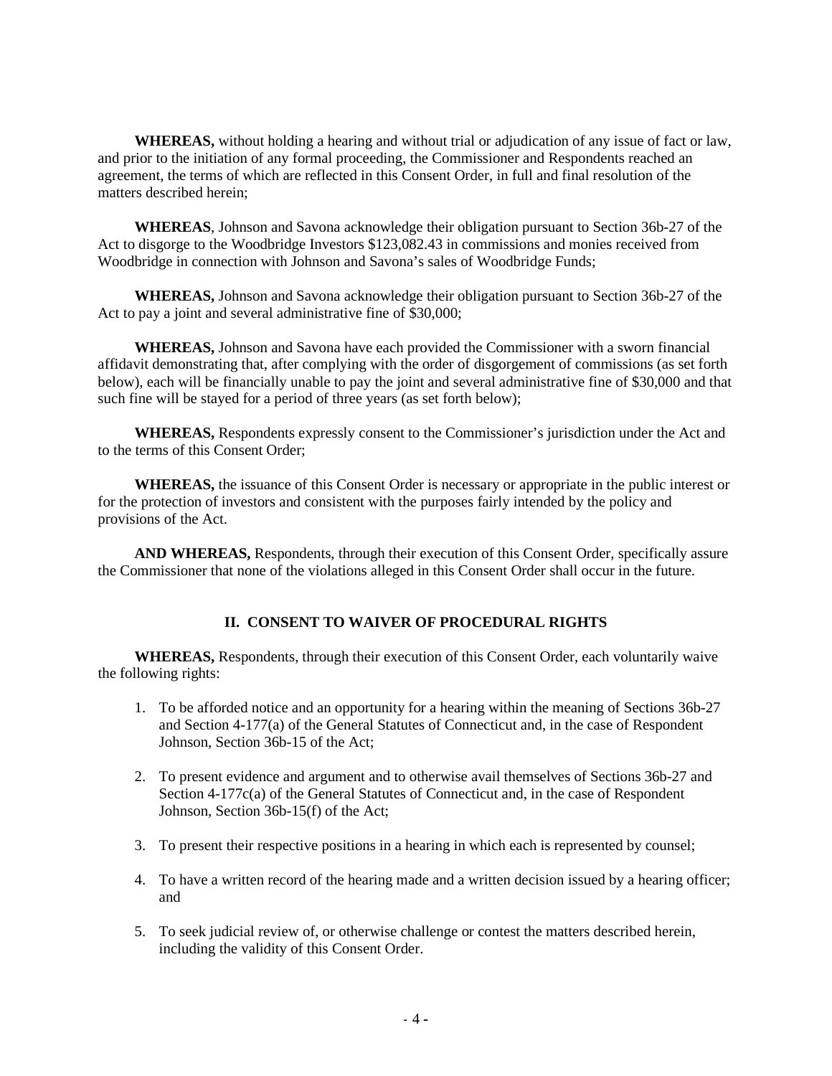**WHEREAS,** without holding a hearing and without trial or adjudication of any issue of fact or law, and prior to the initiation of any formal proceeding, the Commissioner and Respondents reached an agreement, the terms of which are reflected in this Consent Order, in full and final resolution of the matters described herein;

**WHEREAS**, Johnson and Savona acknowledge their obligation pursuant to Section 36b-27 of the Act to disgorge to the Woodbridge Investors \$123,082.43 in commissions and monies received from Woodbridge in connection with Johnson and Savona's sales of Woodbridge Funds;

**WHEREAS,** Johnson and Savona acknowledge their obligation pursuant to Section 36b-27 of the Act to pay a joint and several administrative fine of \$30,000;

**WHEREAS,** Johnson and Savona have each provided the Commissioner with a sworn financial affidavit demonstrating that, after complying with the order of disgorgement of commissions (as set forth below), each will be financially unable to pay the joint and several administrative fine of \$30,000 and that such fine will be stayed for a period of three years (as set forth below);

**WHEREAS,** Respondents expressly consent to the Commissioner's jurisdiction under the Act and to the terms of this Consent Order;

**WHEREAS,** the issuance of this Consent Order is necessary or appropriate in the public interest or for the protection of investors and consistent with the purposes fairly intended by the policy and provisions of the Act.

**AND WHEREAS,** Respondents, through their execution of this Consent Order, specifically assure the Commissioner that none of the violations alleged in this Consent Order shall occur in the future.

#### **II. CONSENT TO WAIVER OF PROCEDURAL RIGHTS**

**WHEREAS,** Respondents, through their execution of this Consent Order, each voluntarily waive the following rights:

- 1. To be afforded notice and an opportunity for a hearing within the meaning of Sections 36b-27 and Section 4-177(a) of the General Statutes of Connecticut and, in the case of Respondent Johnson, Section 36b-15 of the Act;
- 2. To present evidence and argument and to otherwise avail themselves of Sections 36b-27 and Section 4-177c(a) of the General Statutes of Connecticut and, in the case of Respondent Johnson, Section 36b-15(f) of the Act;
- 3. To present their respective positions in a hearing in which each is represented by counsel;
- 4. To have a written record of the hearing made and a written decision issued by a hearing officer; and
- 5. To seek judicial review of, or otherwise challenge or contest the matters described herein, including the validity of this Consent Order.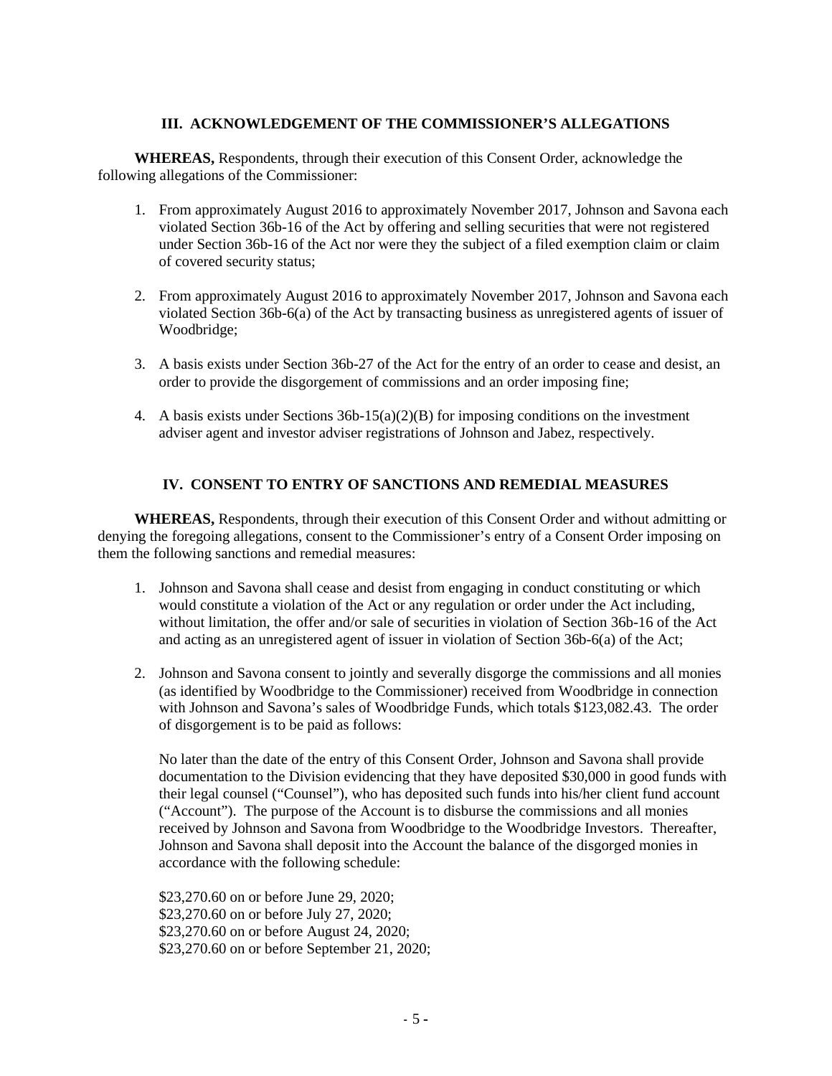# **III. ACKNOWLEDGEMENT OF THE COMMISSIONER'S ALLEGATIONS**

**WHEREAS,** Respondents, through their execution of this Consent Order, acknowledge the following allegations of the Commissioner:

- 1. From approximately August 2016 to approximately November 2017, Johnson and Savona each violated Section 36b-16 of the Act by offering and selling securities that were not registered under Section 36b-16 of the Act nor were they the subject of a filed exemption claim or claim of covered security status;
- 2. From approximately August 2016 to approximately November 2017, Johnson and Savona each violated Section 36b-6(a) of the Act by transacting business as unregistered agents of issuer of Woodbridge;
- 3. A basis exists under Section 36b-27 of the Act for the entry of an order to cease and desist, an order to provide the disgorgement of commissions and an order imposing fine;
- 4. A basis exists under Sections  $36b-15(a)(2)(B)$  for imposing conditions on the investment adviser agent and investor adviser registrations of Johnson and Jabez, respectively.

## **IV. CONSENT TO ENTRY OF SANCTIONS AND REMEDIAL MEASURES**

**WHEREAS,** Respondents, through their execution of this Consent Order and without admitting or denying the foregoing allegations, consent to the Commissioner's entry of a Consent Order imposing on them the following sanctions and remedial measures:

- 1. Johnson and Savona shall cease and desist from engaging in conduct constituting or which would constitute a violation of the Act or any regulation or order under the Act including, without limitation, the offer and/or sale of securities in violation of Section 36b-16 of the Act and acting as an unregistered agent of issuer in violation of Section 36b-6(a) of the Act;
- 2. Johnson and Savona consent to jointly and severally disgorge the commissions and all monies (as identified by Woodbridge to the Commissioner) received from Woodbridge in connection with Johnson and Savona's sales of Woodbridge Funds, which totals \$123,082.43. The order of disgorgement is to be paid as follows:

No later than the date of the entry of this Consent Order, Johnson and Savona shall provide documentation to the Division evidencing that they have deposited \$30,000 in good funds with their legal counsel ("Counsel"), who has deposited such funds into his/her client fund account ("Account"). The purpose of the Account is to disburse the commissions and all monies received by Johnson and Savona from Woodbridge to the Woodbridge Investors. Thereafter, Johnson and Savona shall deposit into the Account the balance of the disgorged monies in accordance with the following schedule:

\$23,270.60 on or before June 29, 2020; \$23,270.60 on or before July 27, 2020; \$23,270.60 on or before August 24, 2020; \$23,270.60 on or before September 21, 2020;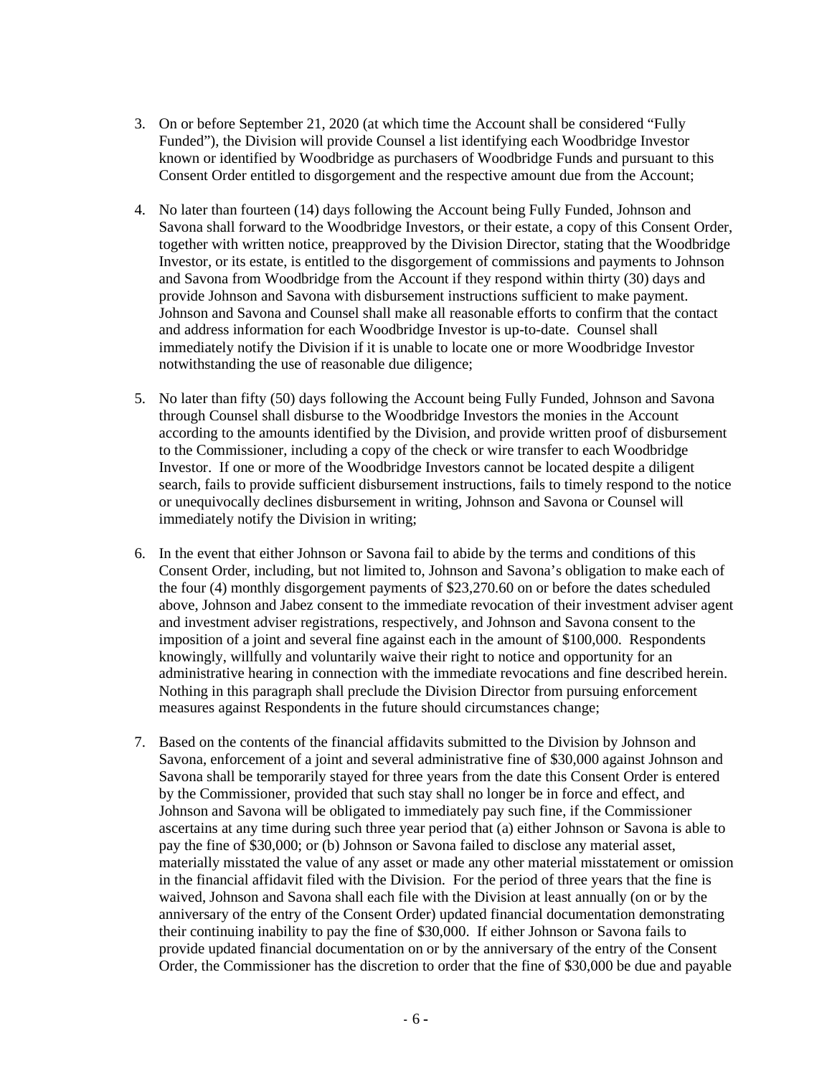- 3. On or before September 21, 2020 (at which time the Account shall be considered "Fully Funded"), the Division will provide Counsel a list identifying each Woodbridge Investor known or identified by Woodbridge as purchasers of Woodbridge Funds and pursuant to this Consent Order entitled to disgorgement and the respective amount due from the Account;
- 4. No later than fourteen (14) days following the Account being Fully Funded, Johnson and Savona shall forward to the Woodbridge Investors, or their estate, a copy of this Consent Order, together with written notice, preapproved by the Division Director, stating that the Woodbridge Investor, or its estate, is entitled to the disgorgement of commissions and payments to Johnson and Savona from Woodbridge from the Account if they respond within thirty (30) days and provide Johnson and Savona with disbursement instructions sufficient to make payment. Johnson and Savona and Counsel shall make all reasonable efforts to confirm that the contact and address information for each Woodbridge Investor is up-to-date. Counsel shall immediately notify the Division if it is unable to locate one or more Woodbridge Investor notwithstanding the use of reasonable due diligence;
- 5. No later than fifty (50) days following the Account being Fully Funded, Johnson and Savona through Counsel shall disburse to the Woodbridge Investors the monies in the Account according to the amounts identified by the Division, and provide written proof of disbursement to the Commissioner, including a copy of the check or wire transfer to each Woodbridge Investor. If one or more of the Woodbridge Investors cannot be located despite a diligent search, fails to provide sufficient disbursement instructions, fails to timely respond to the notice or unequivocally declines disbursement in writing, Johnson and Savona or Counsel will immediately notify the Division in writing;
- 6. In the event that either Johnson or Savona fail to abide by the terms and conditions of this Consent Order, including, but not limited to, Johnson and Savona's obligation to make each of the four (4) monthly disgorgement payments of \$23,270.60 on or before the dates scheduled above, Johnson and Jabez consent to the immediate revocation of their investment adviser agent and investment adviser registrations, respectively, and Johnson and Savona consent to the imposition of a joint and several fine against each in the amount of \$100,000. Respondents knowingly, willfully and voluntarily waive their right to notice and opportunity for an administrative hearing in connection with the immediate revocations and fine described herein. Nothing in this paragraph shall preclude the Division Director from pursuing enforcement measures against Respondents in the future should circumstances change;
- 7. Based on the contents of the financial affidavits submitted to the Division by Johnson and Savona, enforcement of a joint and several administrative fine of \$30,000 against Johnson and Savona shall be temporarily stayed for three years from the date this Consent Order is entered by the Commissioner, provided that such stay shall no longer be in force and effect, and Johnson and Savona will be obligated to immediately pay such fine, if the Commissioner ascertains at any time during such three year period that (a) either Johnson or Savona is able to pay the fine of \$30,000; or (b) Johnson or Savona failed to disclose any material asset, materially misstated the value of any asset or made any other material misstatement or omission in the financial affidavit filed with the Division. For the period of three years that the fine is waived, Johnson and Savona shall each file with the Division at least annually (on or by the anniversary of the entry of the Consent Order) updated financial documentation demonstrating their continuing inability to pay the fine of \$30,000. If either Johnson or Savona fails to provide updated financial documentation on or by the anniversary of the entry of the Consent Order, the Commissioner has the discretion to order that the fine of \$30,000 be due and payable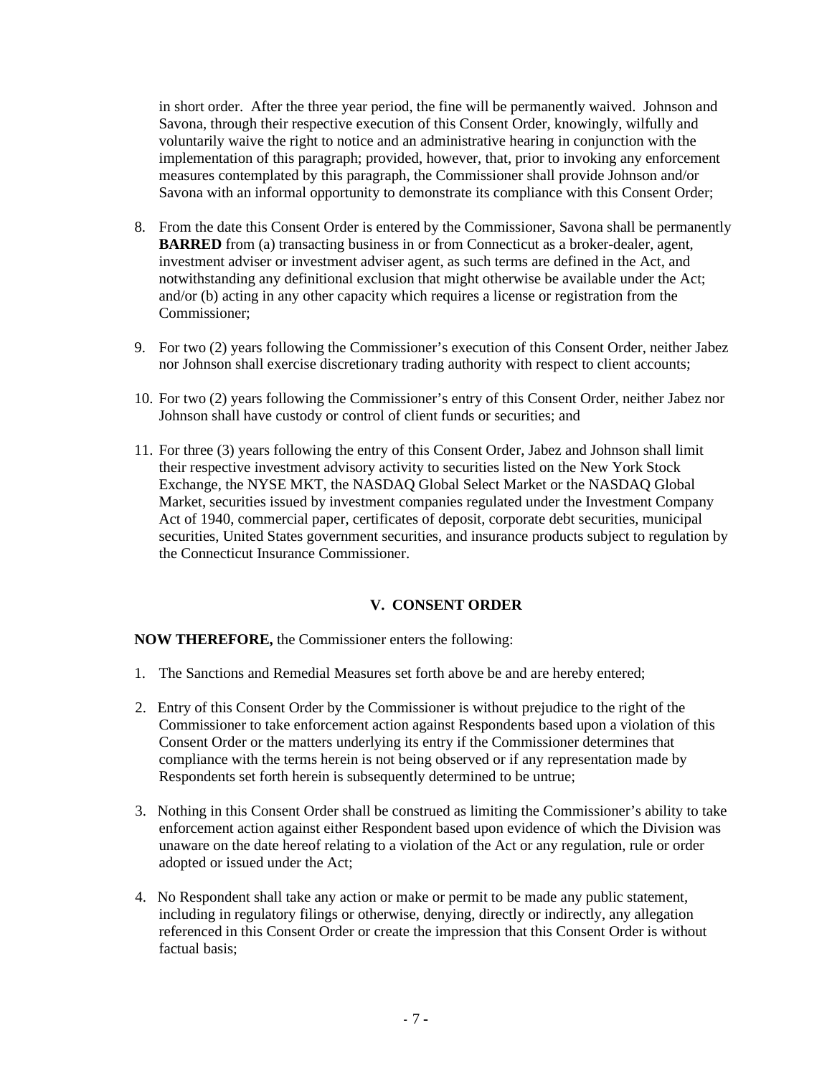in short order. After the three year period, the fine will be permanently waived. Johnson and Savona, through their respective execution of this Consent Order, knowingly, wilfully and voluntarily waive the right to notice and an administrative hearing in conjunction with the implementation of this paragraph; provided, however, that, prior to invoking any enforcement measures contemplated by this paragraph, the Commissioner shall provide Johnson and/or Savona with an informal opportunity to demonstrate its compliance with this Consent Order;

- 8. From the date this Consent Order is entered by the Commissioner, Savona shall be permanently **BARRED** from (a) transacting business in or from Connecticut as a broker-dealer, agent, investment adviser or investment adviser agent, as such terms are defined in the Act, and notwithstanding any definitional exclusion that might otherwise be available under the Act; and/or (b) acting in any other capacity which requires a license or registration from the Commissioner;
- 9. For two (2) years following the Commissioner's execution of this Consent Order, neither Jabez nor Johnson shall exercise discretionary trading authority with respect to client accounts;
- 10. For two (2) years following the Commissioner's entry of this Consent Order, neither Jabez nor Johnson shall have custody or control of client funds or securities; and
- 11. For three (3) years following the entry of this Consent Order, Jabez and Johnson shall limit their respective investment advisory activity to securities listed on the New York Stock Exchange, the NYSE MKT, the NASDAQ Global Select Market or the NASDAQ Global Market, securities issued by investment companies regulated under the Investment Company Act of 1940, commercial paper, certificates of deposit, corporate debt securities, municipal securities, United States government securities, and insurance products subject to regulation by the Connecticut Insurance Commissioner.

# **V. CONSENT ORDER**

**NOW THEREFORE,** the Commissioner enters the following:

- 1. The Sanctions and Remedial Measures set forth above be and are hereby entered;
- 2. Entry of this Consent Order by the Commissioner is without prejudice to the right of the Commissioner to take enforcement action against Respondents based upon a violation of this Consent Order or the matters underlying its entry if the Commissioner determines that compliance with the terms herein is not being observed or if any representation made by Respondents set forth herein is subsequently determined to be untrue;
- 3. Nothing in this Consent Order shall be construed as limiting the Commissioner's ability to take enforcement action against either Respondent based upon evidence of which the Division was unaware on the date hereof relating to a violation of the Act or any regulation, rule or order adopted or issued under the Act;
- 4. No Respondent shall take any action or make or permit to be made any public statement, including in regulatory filings or otherwise, denying, directly or indirectly, any allegation referenced in this Consent Order or create the impression that this Consent Order is without factual basis;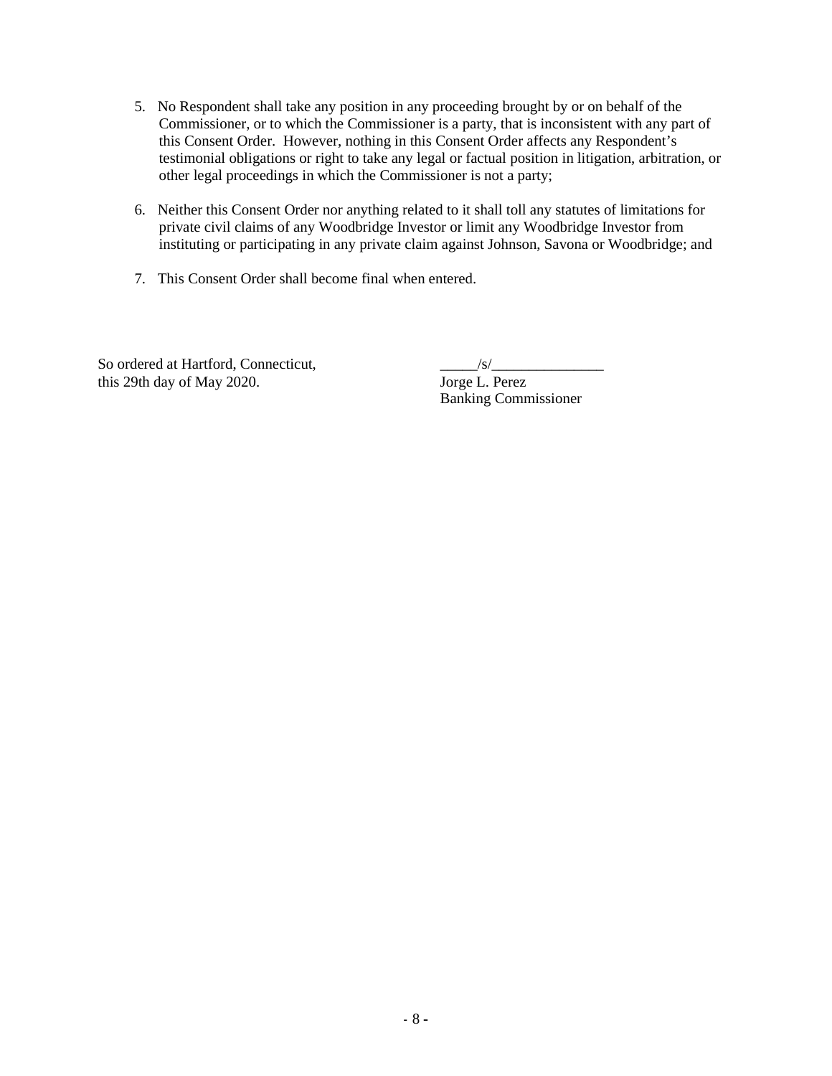- 5. No Respondent shall take any position in any proceeding brought by or on behalf of the Commissioner, or to which the Commissioner is a party, that is inconsistent with any part of this Consent Order. However, nothing in this Consent Order affects any Respondent's testimonial obligations or right to take any legal or factual position in litigation, arbitration, or other legal proceedings in which the Commissioner is not a party;
- 6. Neither this Consent Order nor anything related to it shall toll any statutes of limitations for private civil claims of any Woodbridge Investor or limit any Woodbridge Investor from instituting or participating in any private claim against Johnson, Savona or Woodbridge; and
- 7. This Consent Order shall become final when entered.

So ordered at Hartford, Connecticut,<br>this 29th day of May 2020. Jorge L. Perez this 29th day of May 2020.

Banking Commissioner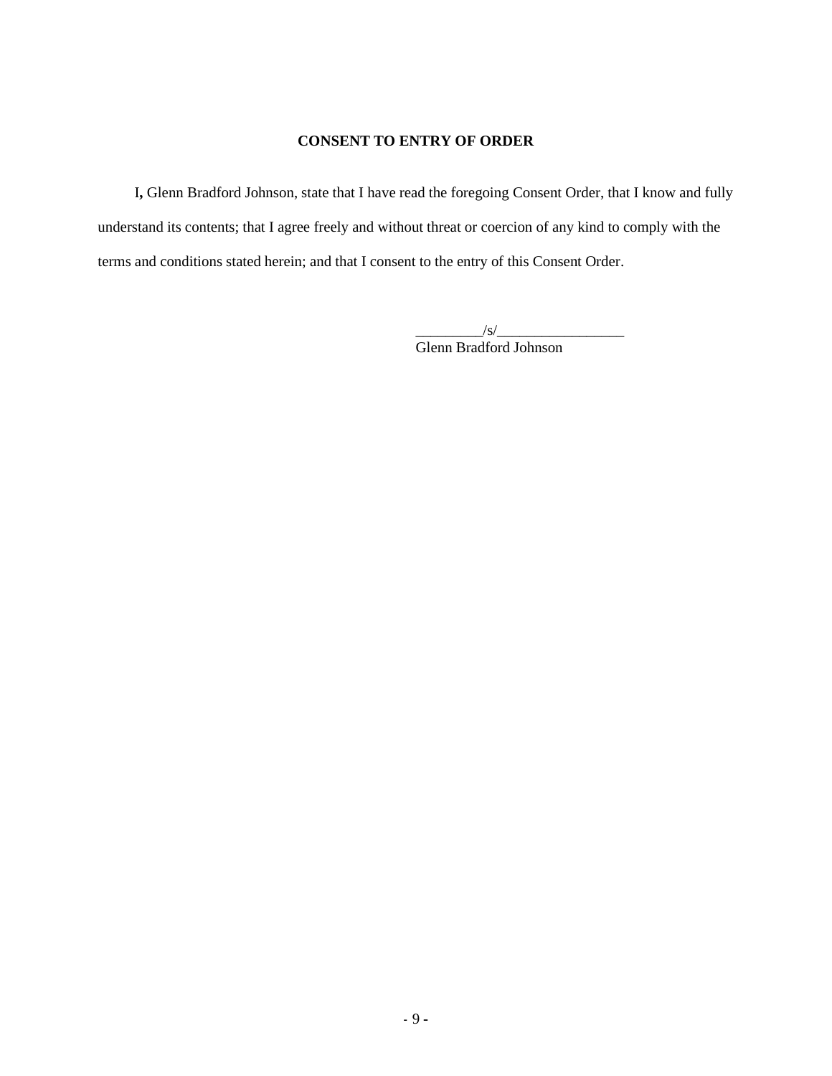#### **CONSENT TO ENTRY OF ORDER**

I**,** Glenn Bradford Johnson, state that I have read the foregoing Consent Order, that I know and fully understand its contents; that I agree freely and without threat or coercion of any kind to comply with the terms and conditions stated herein; and that I consent to the entry of this Consent Order.

> $\frac{1}{s}$ Glenn Bradford Johnson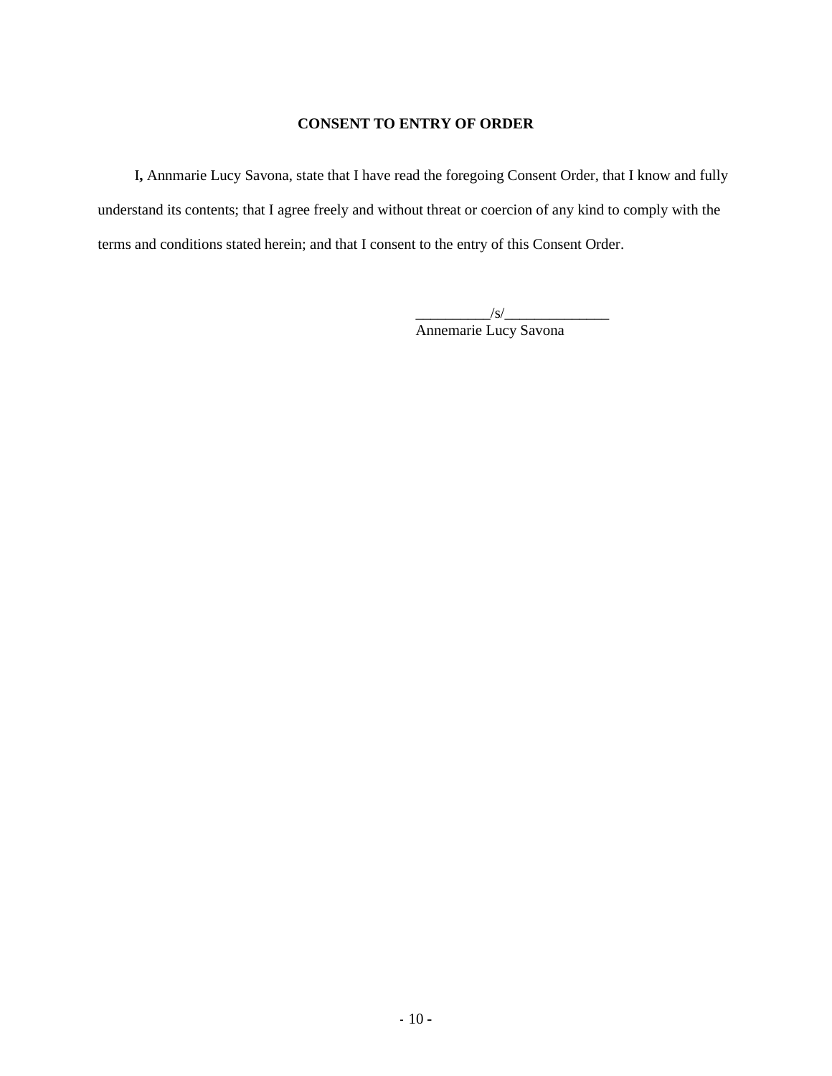## **CONSENT TO ENTRY OF ORDER**

I**,** Annmarie Lucy Savona, state that I have read the foregoing Consent Order, that I know and fully understand its contents; that I agree freely and without threat or coercion of any kind to comply with the terms and conditions stated herein; and that I consent to the entry of this Consent Order.

> $\frac{1}{s}$ Annemarie Lucy Savona